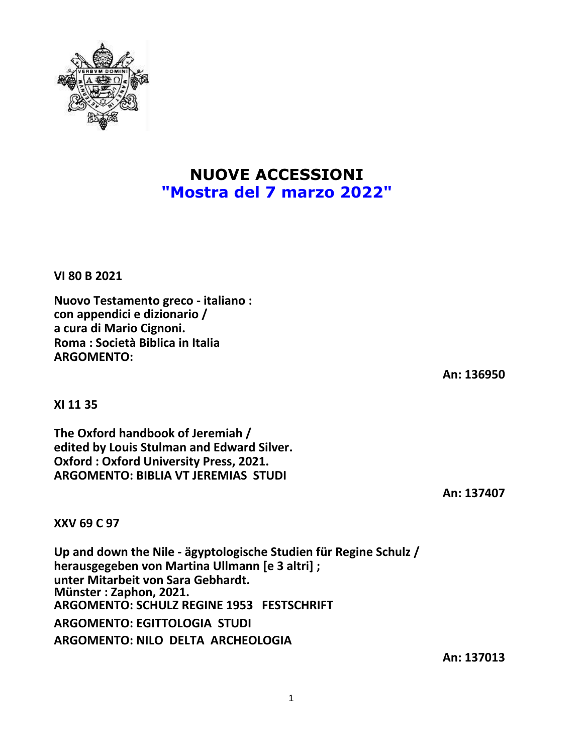**NUOVE ACCESSIONI "Mostra del 7 marzo 2022"**

**VI 80 B 2021**

**Nuovo Testamento greco - italiano : con appendici e dizionario / a cura di Mario Cignoni. Roma : Società Biblica in Italia ARGOMENTO:**

**XI 11 35**

**The Oxford handbook of Jeremiah / edited by Louis Stulman and Edward Silver. Oxford : Oxford University Press, 2021. ARGOMENTO: BIBLIA VT JEREMIAS STUDI**

**An: 137407**

**XXV 69 C 97**

**Up and down the Nile - ägyptologische Studien für Regine Schulz / herausgegeben von Martina Ullmann [e 3 altri] ; unter Mitarbeit von Sara Gebhardt. Münster : Zaphon, 2021. ARGOMENTO: SCHULZ REGINE 1953 FESTSCHRIFT ARGOMENTO: EGITTOLOGIA STUDI ARGOMENTO: NILO DELTA ARCHEOLOGIA**

**An: 136950**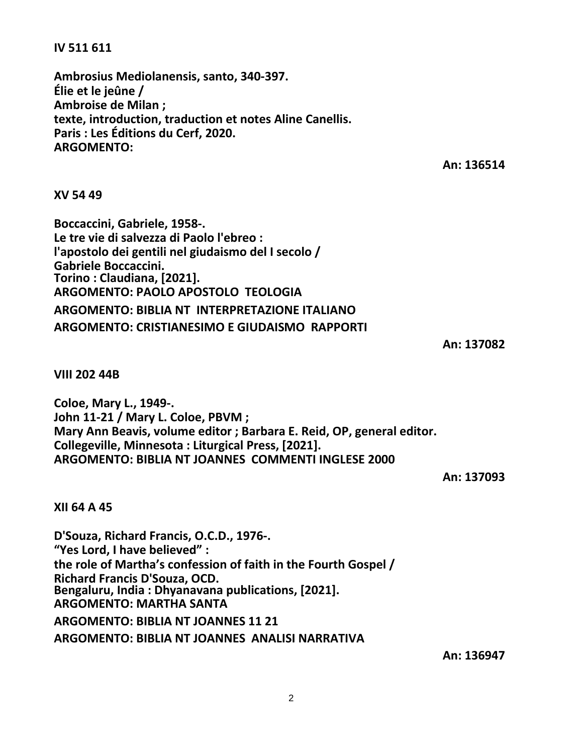## **IV 511 611**

**Ambrosius Mediolanensis, santo, 340-397. Élie et le jeûne / Ambroise de Milan ; texte, introduction, traduction et notes Aline Canellis. Paris : Les Éditions du Cerf, 2020. ARGOMENTO:**

**An: 136514**

**XV 54 49**

**Boccaccini, Gabriele, 1958-. Le tre vie di salvezza di Paolo l'ebreo : l'apostolo dei gentili nel giudaismo del I secolo / Gabriele Boccaccini. Torino : Claudiana, [2021]. ARGOMENTO: PAOLO APOSTOLO TEOLOGIA ARGOMENTO: BIBLIA NT INTERPRETAZIONE ITALIANO ARGOMENTO: CRISTIANESIMO E GIUDAISMO RAPPORTI**

**An: 137082**

**VIII 202 44B**

**Coloe, Mary L., 1949-. John 11-21 / Mary L. Coloe, PBVM ; Mary Ann Beavis, volume editor ; Barbara E. Reid, OP, general editor. Collegeville, Minnesota : Liturgical Press, [2021]. ARGOMENTO: BIBLIA NT JOANNES COMMENTI INGLESE 2000**

**An: 137093**

## **XII 64 A 45**

**D'Souza, Richard Francis, O.C.D., 1976-. "Yes Lord, I have believed" : the role of Martha's confession of faith in the Fourth Gospel / Richard Francis D'Souza, OCD. Bengaluru, India : Dhyanavana publications, [2021]. ARGOMENTO: MARTHA SANTA ARGOMENTO: BIBLIA NT JOANNES 11 21**

**ARGOMENTO: BIBLIA NT JOANNES ANALISI NARRATIVA**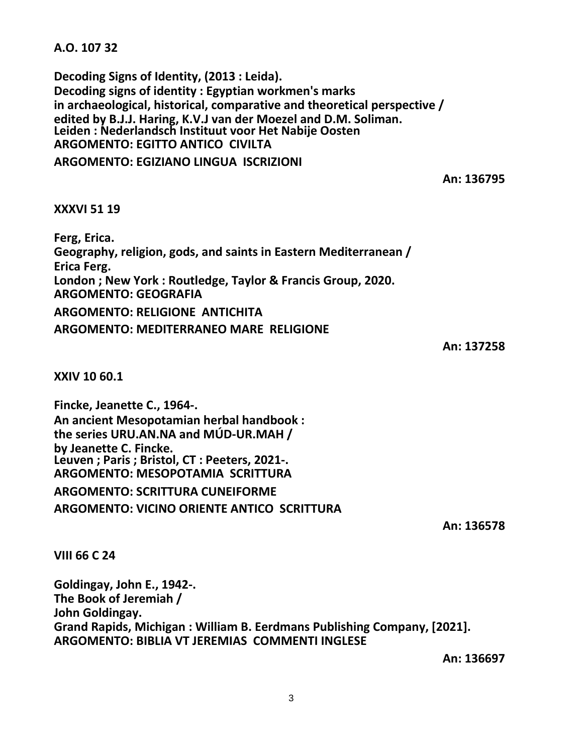**A.O. 107 32**

**Decoding Signs of Identity, (2013 : Leida). Decoding signs of identity : Egyptian workmen's marks in archaeological, historical, comparative and theoretical perspective / edited by B.J.J. Haring, K.V.J van der Moezel and D.M. Soliman. Leiden : Nederlandsch Instituut voor Het Nabije Oosten ARGOMENTO: EGITTO ANTICO CIVILTA**

**ARGOMENTO: EGIZIANO LINGUA ISCRIZIONI**

**An: 136795**

## **XXXVI 51 19**

**Ferg, Erica. Geography, religion, gods, and saints in Eastern Mediterranean / Erica Ferg. London ; New York : Routledge, Taylor & Francis Group, 2020. ARGOMENTO: GEOGRAFIA ARGOMENTO: RELIGIONE ANTICHITA ARGOMENTO: MEDITERRANEO MARE RELIGIONE**

**An: 137258**

**XXIV 10 60.1**

**Fincke, Jeanette C., 1964-. An ancient Mesopotamian herbal handbook : the series URU.AN.NA and MÚD-UR.MAH / by Jeanette C. Fincke. Leuven ; Paris ; Bristol, CT : Peeters, 2021-. ARGOMENTO: MESOPOTAMIA SCRITTURA**

**ARGOMENTO: SCRITTURA CUNEIFORME ARGOMENTO: VICINO ORIENTE ANTICO SCRITTURA**

**An: 136578**

**VIII 66 C 24**

**Goldingay, John E., 1942-. The Book of Jeremiah / John Goldingay. Grand Rapids, Michigan : William B. Eerdmans Publishing Company, [2021]. ARGOMENTO: BIBLIA VT JEREMIAS COMMENTI INGLESE**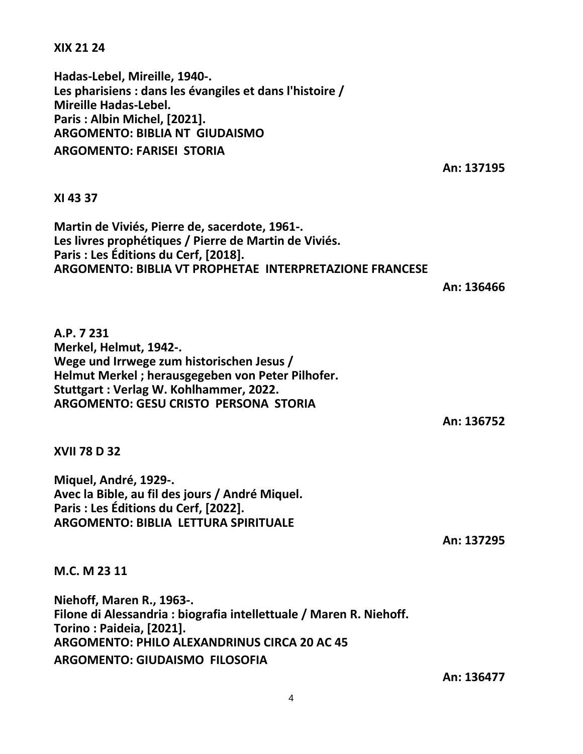**XIX 21 24**

**Hadas-Lebel, Mireille, 1940-. Les pharisiens : dans les évangiles et dans l'histoire / Mireille Hadas-Lebel. Paris : Albin Michel, [2021]. ARGOMENTO: BIBLIA NT GIUDAISMO ARGOMENTO: FARISEI STORIA**

**An: 137195**

**XI 43 37**

**Martin de Viviés, Pierre de, sacerdote, 1961-. Les livres prophétiques / Pierre de Martin de Viviés. Paris : Les Éditions du Cerf, [2018]. ARGOMENTO: BIBLIA VT PROPHETAE INTERPRETAZIONE FRANCESE**

**An: 136466**

**A.P. 7 231 Merkel, Helmut, 1942-. Wege und Irrwege zum historischen Jesus / Helmut Merkel ; herausgegeben von Peter Pilhofer. Stuttgart : Verlag W. Kohlhammer, 2022. ARGOMENTO: GESU CRISTO PERSONA STORIA**

**An: 136752**

**XVII 78 D 32**

**Miquel, André, 1929-. Avec la Bible, au fil des jours / André Miquel. Paris : Les Éditions du Cerf, [2022]. ARGOMENTO: BIBLIA LETTURA SPIRITUALE**

**An: 137295**

**M.C. M 23 11**

**Niehoff, Maren R., 1963-. Filone di Alessandria : biografia intellettuale / Maren R. Niehoff. Torino : Paideia, [2021]. ARGOMENTO: PHILO ALEXANDRINUS CIRCA 20 AC 45 ARGOMENTO: GIUDAISMO FILOSOFIA**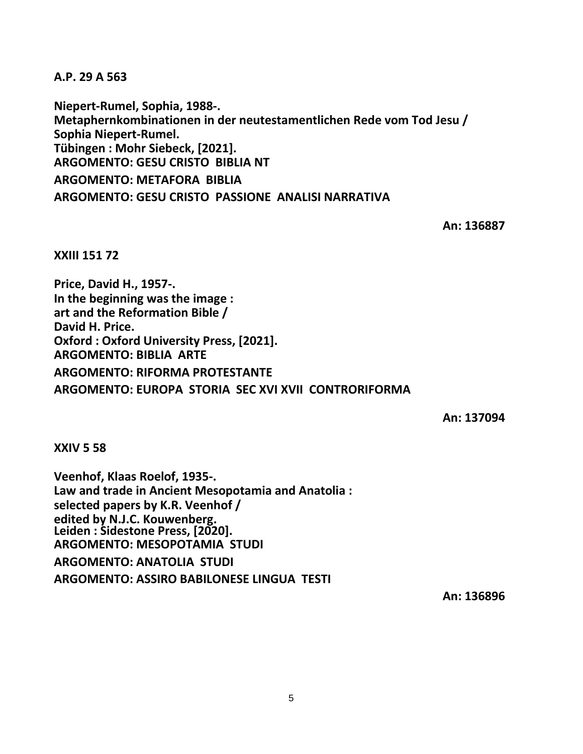**A.P. 29 A 563**

**Niepert-Rumel, Sophia, 1988-. Metaphernkombinationen in der neutestamentlichen Rede vom Tod Jesu / Sophia Niepert-Rumel. Tübingen : Mohr Siebeck, [2021]. ARGOMENTO: GESU CRISTO BIBLIA NT ARGOMENTO: METAFORA BIBLIA ARGOMENTO: GESU CRISTO PASSIONE ANALISI NARRATIVA**

**An: 136887**

**XXIII 151 72**

**Price, David H., 1957-. In the beginning was the image : art and the Reformation Bible / David H. Price. Oxford : Oxford University Press, [2021]. ARGOMENTO: BIBLIA ARTE ARGOMENTO: RIFORMA PROTESTANTE ARGOMENTO: EUROPA STORIA SEC XVI XVII CONTRORIFORMA**

**An: 137094**

**XXIV 5 58**

**Veenhof, Klaas Roelof, 1935-. Law and trade in Ancient Mesopotamia and Anatolia : selected papers by K.R. Veenhof / edited by N.J.C. Kouwenberg. Leiden : Sidestone Press, [2020]. ARGOMENTO: MESOPOTAMIA STUDI ARGOMENTO: ANATOLIA STUDI ARGOMENTO: ASSIRO BABILONESE LINGUA TESTI**